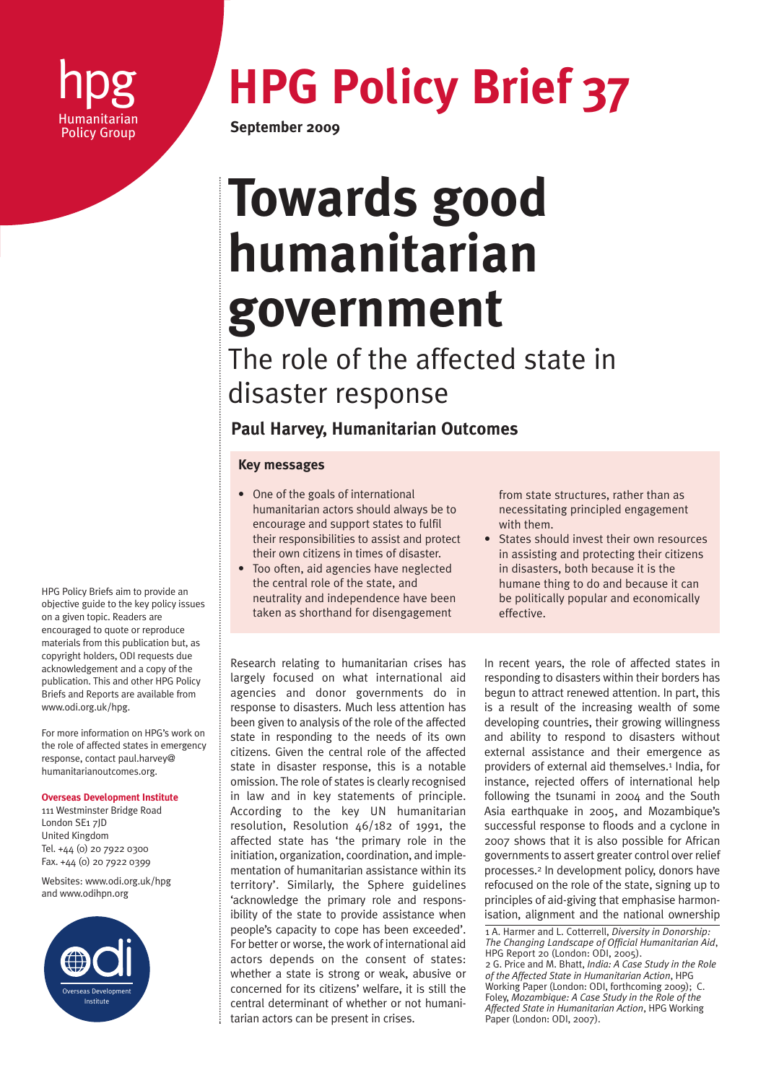

# **hpg HPG Policy Brief 37**<br>**Bring September 2009**

**September 2009** 

## **Towards good humanitarian government**

The role of the affected state in disaster response

### **Paul Harvey, Humanitarian Outcomes**

#### **Key messages**

- One of the goals of international humanitarian actors should always be to encourage and support states to fulfil their responsibilities to assist and protect their own citizens in times of disaster.
- Too often, aid agencies have neglected the central role of the state, and neutrality and independence have been taken as shorthand for disengagement

from state structures, rather than as necessitating principled engagement with them.

• States should invest their own resources in assisting and protecting their citizens in disasters, both because it is the humane thing to do and because it can be politically popular and economically effective.

Research relating to humanitarian crises has largely focused on what international aid agencies and donor governments do in response to disasters. Much less attention has been given to analysis of the role of the affected state in responding to the needs of its own citizens. Given the central role of the affected state in disaster response, this is a notable omission. The role of states is clearly recognised in law and in key statements of principle. According to the key UN humanitarian resolution, Resolution 46/182 of 1991, the affected state has 'the primary role in the initiation, organization, coordination, and implementation of humanitarian assistance within its territory'. Similarly, the Sphere guidelines 'acknowledge the primary role and responsibility of the state to provide assistance when people's capacity to cope has been exceeded'. For better or worse, the work of international aid actors depends on the consent of states: whether a state is strong or weak, abusive or concerned for its citizens' welfare, it is still the central determinant of whether or not humanitarian actors can be present in crises.

In recent years, the role of affected states in responding to disasters within their borders has begun to attract renewed attention. In part, this is a result of the increasing wealth of some developing countries, their growing willingness and ability to respond to disasters without external assistance and their emergence as providers of external aid themselves.<sup>1</sup> India, for instance, rejected offers of international help following the tsunami in 2004 and the South Asia earthquake in 2005, and Mozambique's successful response to floods and a cyclone in 2007 shows that it is also possible for African governments to assert greater control over relief processes.2 In development policy, donors have refocused on the role of the state, signing up to principles of aid-giving that emphasise harmonisation, alignment and the national ownership

1 A. Harmer and L. Cotterrell, *Diversity in Donorship: The Changing Landscape of Official Humanitarian Aid*, HPG Report 20 (London: ODI, 2005). 2 G. Price and M. Bhatt, *India: A Case Study in the Role of the Affected State in Humanitarian Action*, HPG Working Paper (London: ODI, forthcoming 2009); C. Foley, *Mozambique: A Case Study in the Role of the Affected State in Humanitarian Action*, HPG Working Paper (London: ODI, 2007).

HPG Policy Briefs aim to provide an objective guide to the key policy issues on a given topic. Readers are encouraged to quote or reproduce materials from this publication but, as copyright holders, ODI requests due acknowledgement and a copy of the publication. This and other HPG Policy Briefs and Reports are available from www.odi.org.uk/hpg.

For more information on HPG's work on the role of affected states in emergency response, contact paul.harvey@ humanitarianoutcomes.org.

**Overseas Development Institute**

111 Westminster Bridge Road London SE1 7JD United Kingdom Tel. +44 (0) 20 7922 0300 Fax. +44 (0) 20 7922 0399

Websites: www.odi.org.uk/hpg and www.odihpn.org

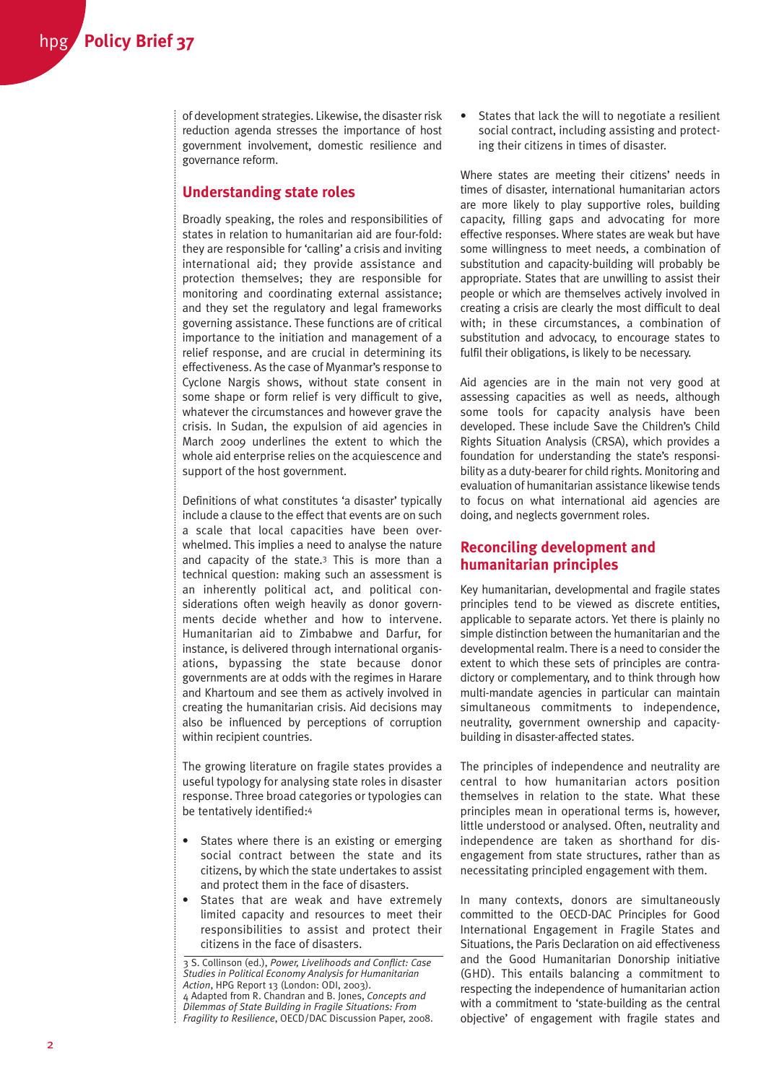of development strategies. Likewise, the disaster risk reduction agenda stresses the importance of host government involvement, domestic resilience and governance reform.

#### **Understanding state roles**

Broadly speaking, the roles and responsibilities of states in relation to humanitarian aid are four-fold: they are responsible for 'calling' a crisis and inviting international aid; they provide assistance and protection themselves; they are responsible for monitoring and coordinating external assistance; and they set the regulatory and legal frameworks governing assistance. These functions are of critical importance to the initiation and management of a relief response, and are crucial in determining its effectiveness. As the case of Myanmar's response to Cyclone Nargis shows, without state consent in some shape or form relief is very difficult to give, whatever the circumstances and however grave the crisis. In Sudan, the expulsion of aid agencies in March 2009 underlines the extent to which the whole aid enterprise relies on the acquiescence and support of the host government.

Definitions of what constitutes 'a disaster' typically include a clause to the effect that events are on such a scale that local capacities have been overwhelmed. This implies a need to analyse the nature and capacity of the state.3 This is more than a technical question: making such an assessment is an inherently political act, and political considerations often weigh heavily as donor governments decide whether and how to intervene. Humanitarian aid to Zimbabwe and Darfur, for instance, is delivered through international organisations, bypassing the state because donor governments are at odds with the regimes in Harare and Khartoum and see them as actively involved in creating the humanitarian crisis. Aid decisions may also be influenced by perceptions of corruption within recipient countries.

The growing literature on fragile states provides a useful typology for analysing state roles in disaster response. Three broad categories or typologies can be tentatively identified:4

- States where there is an existing or emerging social contract between the state and its citizens, by which the state undertakes to assist and protect them in the face of disasters.
- States that are weak and have extremely limited capacity and resources to meet their responsibilities to assist and protect their citizens in the face of disasters.

• States that lack the will to negotiate a resilient social contract, including assisting and protecting their citizens in times of disaster.

Where states are meeting their citizens' needs in times of disaster, international humanitarian actors are more likely to play supportive roles, building capacity, filling gaps and advocating for more effective responses. Where states are weak but have some willingness to meet needs, a combination of substitution and capacity-building will probably be appropriate. States that are unwilling to assist their people or which are themselves actively involved in creating a crisis are clearly the most difficult to deal with; in these circumstances, a combination of substitution and advocacy, to encourage states to fulfil their obligations, is likely to be necessary.

Aid agencies are in the main not very good at assessing capacities as well as needs, although some tools for capacity analysis have been developed. These include Save the Children's Child Rights Situation Analysis (CRSA), which provides a foundation for understanding the state's responsibility as a duty-bearer for child rights. Monitoring and evaluation of humanitarian assistance likewise tends to focus on what international aid agencies are doing, and neglects government roles.

#### **Reconciling development and humanitarian principles**

Key humanitarian, developmental and fragile states principles tend to be viewed as discrete entities, applicable to separate actors. Yet there is plainly no simple distinction between the humanitarian and the developmental realm. There is a need to consider the extent to which these sets of principles are contradictory or complementary, and to think through how multi-mandate agencies in particular can maintain simultaneous commitments to independence, neutrality, government ownership and capacitybuilding in disaster-affected states.

The principles of independence and neutrality are central to how humanitarian actors position themselves in relation to the state. What these principles mean in operational terms is, however, little understood or analysed. Often, neutrality and independence are taken as shorthand for disengagement from state structures, rather than as necessitating principled engagement with them.

In many contexts, donors are simultaneously committed to the OECD-DAC Principles for Good International Engagement in Fragile States and Situations, the Paris Declaration on aid effectiveness and the Good Humanitarian Donorship initiative (GHD). This entails balancing a commitment to respecting the independence of humanitarian action with a commitment to 'state-building as the central objective' of engagement with fragile states and

<sup>3</sup> S. Collinson (ed.), *Power, Livelihoods and Conflict: Case Studies in Political Economy Analysis for Humanitarian Action*, HPG Report 13 (London: ODI, 2003). 4 Adapted from R. Chandran and B. Jones, *Concepts and Dilemmas of State Building in Fragile Situations: From Fragility to Resilience*, OECD/DAC Discussion Paper, 2008.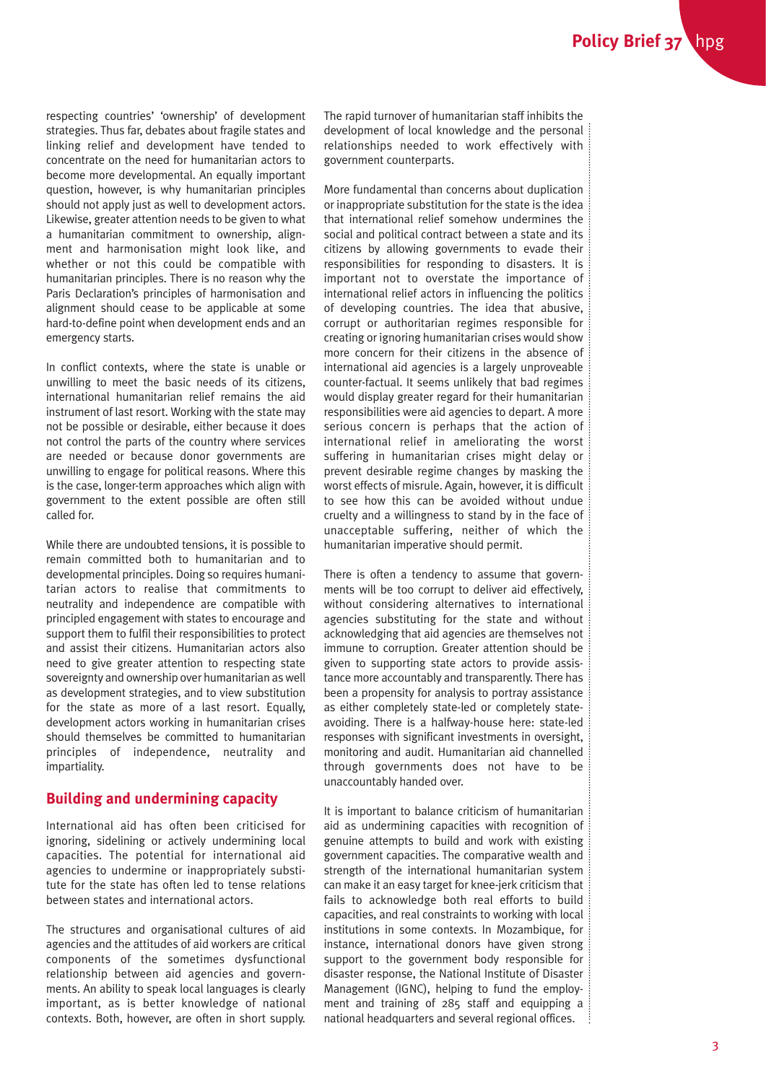respecting countries' 'ownership' of development strategies. Thus far, debates about fragile states and linking relief and development have tended to concentrate on the need for humanitarian actors to become more developmental. An equally important question, however, is why humanitarian principles should not apply just as well to development actors. Likewise, greater attention needs to be given to what a humanitarian commitment to ownership, alignment and harmonisation might look like, and whether or not this could be compatible with humanitarian principles. There is no reason why the Paris Declaration's principles of harmonisation and alignment should cease to be applicable at some hard-to-define point when development ends and an emergency starts.

In conflict contexts, where the state is unable or unwilling to meet the basic needs of its citizens, international humanitarian relief remains the aid instrument of last resort. Working with the state may not be possible or desirable, either because it does not control the parts of the country where services are needed or because donor governments are unwilling to engage for political reasons. Where this is the case, longer-term approaches which align with government to the extent possible are often still called for.

While there are undoubted tensions, it is possible to remain committed both to humanitarian and to developmental principles. Doing so requires humanitarian actors to realise that commitments to neutrality and independence are compatible with principled engagement with states to encourage and support them to fulfil their responsibilities to protect and assist their citizens. Humanitarian actors also need to give greater attention to respecting state sovereignty and ownership over humanitarian as well as development strategies, and to view substitution for the state as more of a last resort. Equally, development actors working in humanitarian crises should themselves be committed to humanitarian principles of independence, neutrality and impartiality.

#### **Building and undermining capacity**

International aid has often been criticised for ignoring, sidelining or actively undermining local capacities. The potential for international aid agencies to undermine or inappropriately substitute for the state has often led to tense relations between states and international actors.

The structures and organisational cultures of aid agencies and the attitudes of aid workers are critical components of the sometimes dysfunctional relationship between aid agencies and governments. An ability to speak local languages is clearly important, as is better knowledge of national contexts. Both, however, are often in short supply.

The rapid turnover of humanitarian staff inhibits the development of local knowledge and the personal relationships needed to work effectively with government counterparts.

More fundamental than concerns about duplication or inappropriate substitution for the state is the idea that international relief somehow undermines the social and political contract between a state and its citizens by allowing governments to evade their responsibilities for responding to disasters. It is important not to overstate the importance of international relief actors in influencing the politics of developing countries. The idea that abusive, corrupt or authoritarian regimes responsible for creating or ignoring humanitarian crises would show more concern for their citizens in the absence of international aid agencies is a largely unproveable counter-factual. It seems unlikely that bad regimes would display greater regard for their humanitarian responsibilities were aid agencies to depart. A more serious concern is perhaps that the action of international relief in ameliorating the worst suffering in humanitarian crises might delay or prevent desirable regime changes by masking the worst effects of misrule. Again, however, it is difficult to see how this can be avoided without undue cruelty and a willingness to stand by in the face of unacceptable suffering, neither of which the humanitarian imperative should permit.

There is often a tendency to assume that governments will be too corrupt to deliver aid effectively, without considering alternatives to international agencies substituting for the state and without acknowledging that aid agencies are themselves not immune to corruption. Greater attention should be given to supporting state actors to provide assistance more accountably and transparently. There has been a propensity for analysis to portray assistance as either completely state-led or completely stateavoiding. There is a halfway-house here: state-led responses with significant investments in oversight, monitoring and audit. Humanitarian aid channelled through governments does not have to be unaccountably handed over.

It is important to balance criticism of humanitarian aid as undermining capacities with recognition of genuine attempts to build and work with existing government capacities. The comparative wealth and strength of the international humanitarian system can make it an easy target for knee-jerk criticism that fails to acknowledge both real efforts to build capacities, and real constraints to working with local institutions in some contexts. In Mozambique, for instance, international donors have given strong support to the government body responsible for disaster response, the National Institute of Disaster Management (IGNC), helping to fund the employment and training of 285 staff and equipping a national headquarters and several regional offices.